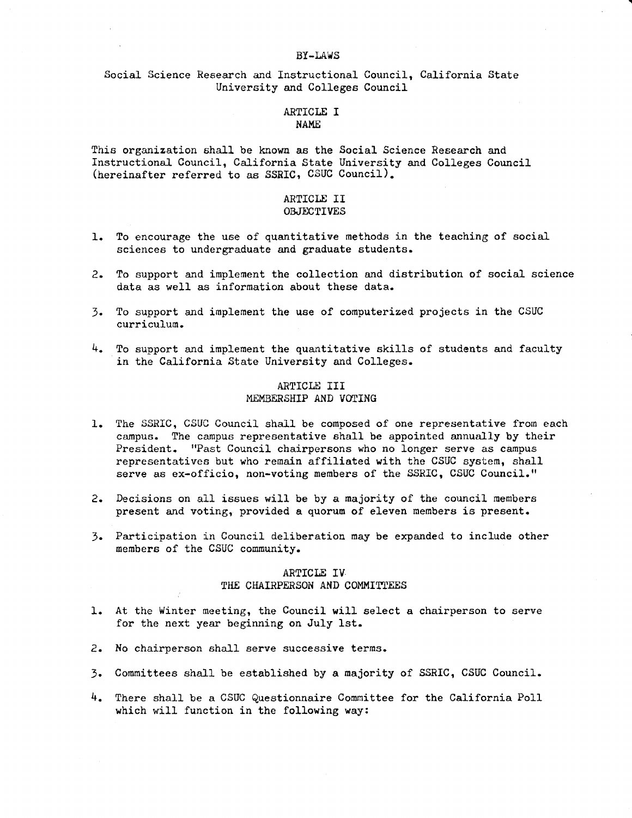#### **BY-LAWS**

..

## Social Science Research and Instructional Council, California State University and Colleges Council

#### ARTICLE I **NAME**

This organization shall be known as the Social Science Research and Instructional Council, California State University and Colleges Council (hereinafter referred to as SSRIC, CSUC Council).

### ARTICLE II OBJECTIVES

- 
- 1. To encourage the use of quantitative methods in the teaching of social sciences to undergraduate and graduate students.
- 2. To support and implement the collection and distribution of social science data as well as information about these data.
- 3. To support and implement the use of computerized projects in the CSUC curriculum.
- 4. To support and implement the quantitative skills of students and faculty in the California State University and Colleges.

## ARTICLE III MEMBERSHIP AND **VOTING**

- 1. The SSRIC, CSUC Council shall be composed of one representative from each campus. The campus representative shall be appointed annually by their President. "Past Council chairpersons who no longer serve as campus representatives but who remain affiliated with the CSUC system, shall serve as ex-officio, non-voting members of the SSRIC, CSUC Council."
- 2. Decisions on all issues will be by a majority of the council members present and voting, provided a quorum of eleven members is present.
- 3. Participation in Council deliberation may be expanded to include other members of the CSUC community.

### ARTICLE IV THE CHAIRPERSON AND COMMITTEES

- 1. At the Winter meeting, the Council will select a chairperson to serve for the next year beginning on July 1st.
- 2. No chairperson shall serve successive terms.
- 3. Committees shall be established by a majority of SSRIC, CSUC Council.
- 4. There shall be a CSUC Questionnaire Committee for the California Poll which will function in the following way: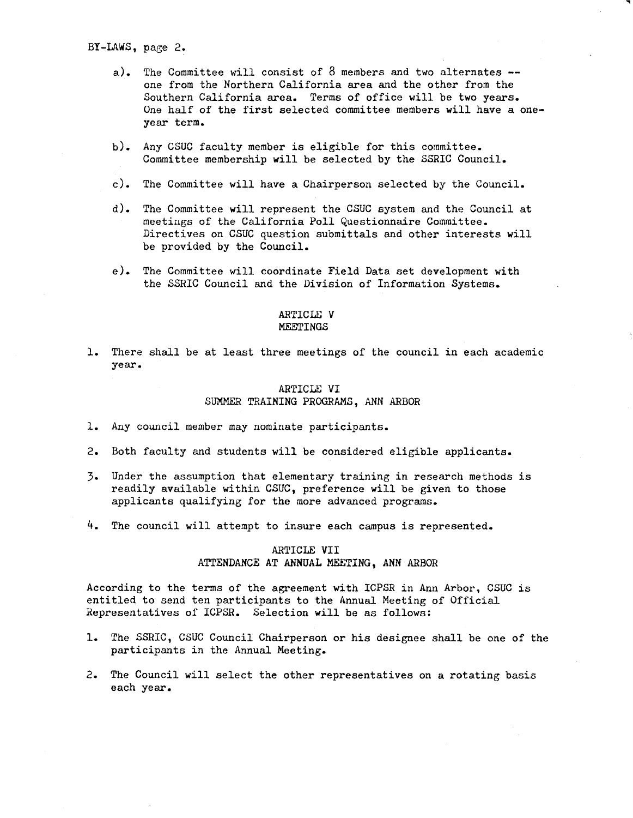BY-LAWS, page 2.

- a). The Committee will consist of  $8$  members and two alternates  $$ one from the Northern California area and the other from the Southern California area. Terms of office will be two years. One half of the first selected committee members will have a oneyear term.
- b). Any CSUC faculty member is eligible for this committee. Committee membership will be selected by the SSRIC Council.
- c). The Committee will have a Chairperson selected by the Council.
- d). The Committee will represent the CSUC system and the Council at meetings of the California Poll Questionnaire Committee. Directives on CSUC question submittals and other interests will be provided by the Council.
- e). The Committee will coordinate Field Data set development with the SSRIC Council and the Division of Information Systems.

### ARTICLE **V MEETINGS**

1. There shall be at least three meetings of the council in each academic year.

## ARTICLE VI SUMMER TRAINING PROGRAMS, ANN *ARBOR*

- 1. Any council member may nominate participants.
- 2. Both faculty and students will be considered eligible applicants.
- 3. Under the assumption that elementary training in research methods is readily available within CSUC, preference will be given to those applicants qualifying for the more advanced programs.
- 4. The council will attempt to insure each campus is represented.

### ARTICLE VII ATTENDANCE AT ANNUAL MEETING, ANN ARBOR

According to the terms of the agreement with ICPSR in Ann Arbor, CSUC is entitled to send ten participants to the Annual Meeting of Official Representatives of ICPSR. Selection will be as follows:

- 1. The SSRIC, CSUC Council Chairperson or his designee shall be one of the participants in the Annual Meeting.
- 2. The Council will select the other representatives on a rotating basis each year.